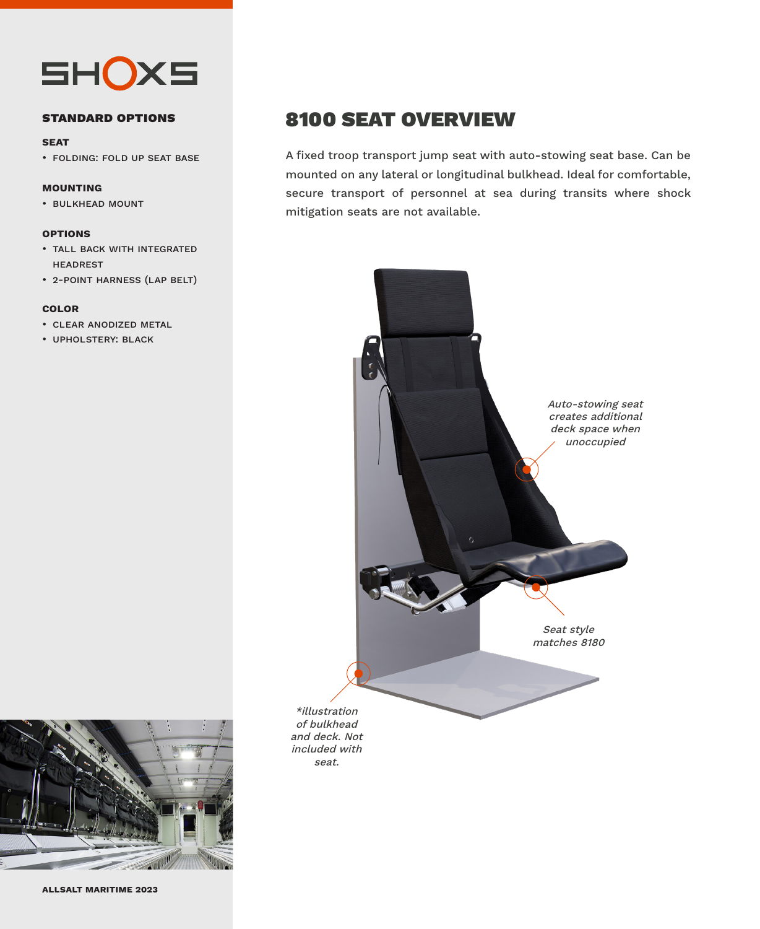

#### **standard options**

#### **seat**

• folding: fold up seat base

#### **mounting**

• bulkhead mount

#### **options**

- tall back with integrated headrest
- 2-point harness (lap belt)

#### **color**

- clear anodized metal
- upholstery: black



A fixed troop transport jump seat with auto-stowing seat base. Can be mounted on any lateral or longitudinal bulkhead. Ideal for comfortable, secure transport of personnel at sea during transits where shock mitigation seats are not available.



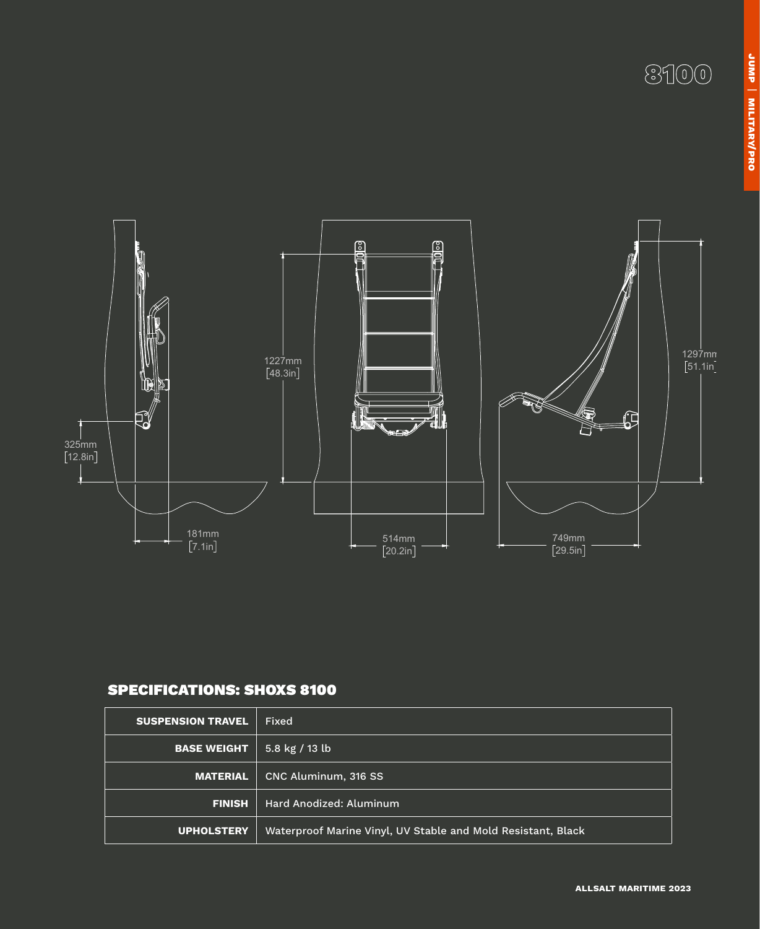# 8100



### SPECIFICATIONS: SHOXS 8100

| <b>SUSPENSION TRAVEL</b> | Fixed                                                        |
|--------------------------|--------------------------------------------------------------|
| <b>BASE WEIGHT</b>       | 5.8 kg / 13 lb                                               |
| <b>MATERIAL</b>          | CNC Aluminum, 316 SS                                         |
| <b>FINISH</b>            | Hard Anodized: Aluminum                                      |
| <b>UPHOLSTERY</b>        | Waterproof Marine Vinyl, UV Stable and Mold Resistant, Black |